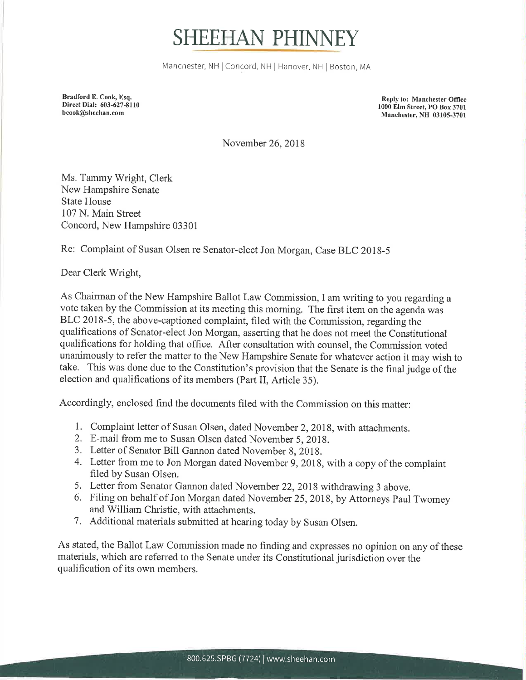## SHEEHAN PHINNEY

Manchester, NH | Concord, NH | Hanover, NH | Boston, MA

Bradford E. Cook, Esq. Direct Dial: 603-627-8110 bcook@sheehan.com

Reply to: Manchester Office 1000 Elm Street, PO Box 3701 Manchester, NH 03105-3701

November 26,2018

Ms. Tammy Wright, Clerk New Hampshire Senate State House 107 N. Main Street Concord, New Hampshire 03301

Re: complaint of susan olsen re senator-elect Jon Morgan, case BLC 2018-5

Dear Clerk Wright,

As Chairman of the New Hampshire Ballot Law Commission, I am writing to you regarding a vote taken by the Commission at its meeting this morning. The first item on the agenda was BLC 2018-5, the above-captioned complaint, filed with the Commission, regarding the qualifications of Senator-elect Jon Morgan, asserting that he does not meet the Constitutional qualifications for holding that office. After consultation with counsel, the Commission voted unanimously to refer the matter to the New Hampshire Senate for whatever action it may wish to take. This was done due to the Constitution's provision that the Senate is the final judge of the election and qualifications of its members (Part II, Article 35).

Accordingly, enclosed find the documents filed with the Commission on this matter:

- 1. Complaint letter of Susan Olsen, dated November 2,2018, with attachments.
- 2. E-mail from me to Susan Olsen dated November 5, 2018.
- 3. Letter of Senator Bill Gannon dated November 8, 2018.
- 4. Letter from me to Jon Morgan dated November 9,2018, with a copy of the complaint filed by Susan Olsen.
- 5. Letter from Senator Gannon dated November 22,2018 withdrawing 3 above.
- 6. Filing on behalf of Jon Morgan dated November 25,2018, by Attorneys Paul Twomey and William Christie, with attachments.
- 7. Additional materials submitted at hearing today by Susan Olsen.

As stated, the Ballot Law Commission made no finding and expresses no opinion on any of these materials, which are referred to the Senate under its Constitutional jurisdiction over the qualification of its own members.